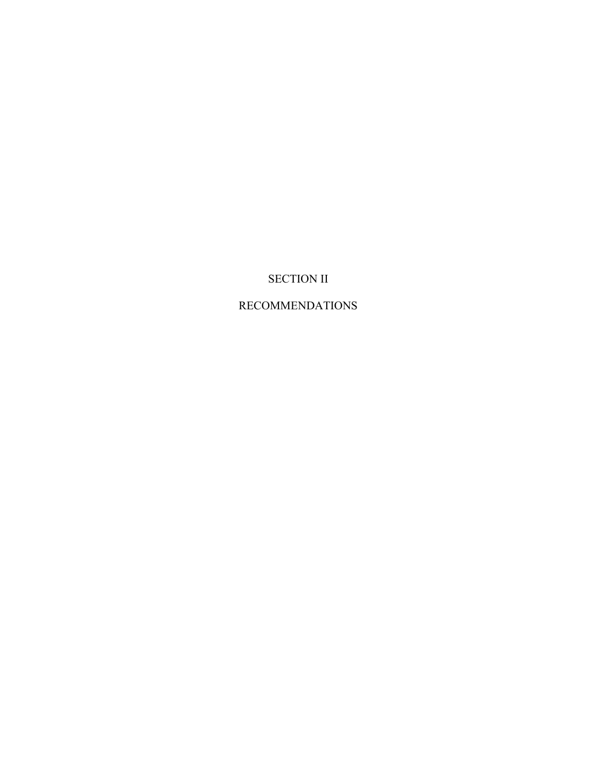## SECTION II

## RECOMMENDATIONS